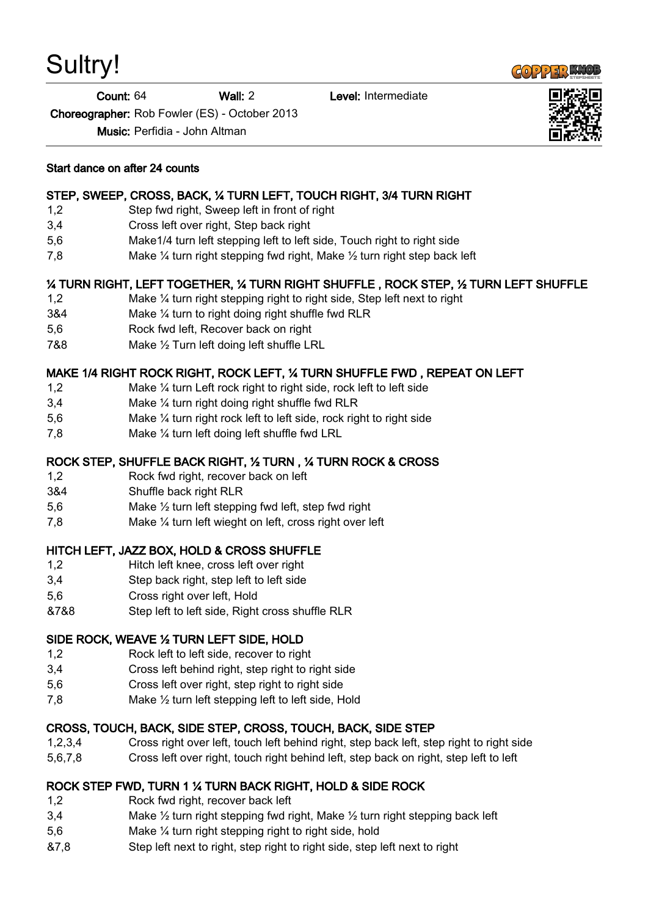# Sultry!

Count: 64 Wall: 2 Level: Intermediate

Choreographer: Rob Fowler (ES) - October 2013

Music: Perfidia - John Altman



#### Start dance on after 24 counts

### STEP, SWEEP, CROSS, BACK, ¼ TURN LEFT, TOUCH RIGHT, 3/4 TURN RIGHT

- 1,2 Step fwd right, Sweep left in front of right
- 3,4 Cross left over right, Step back right
- 5,6 Make1/4 turn left stepping left to left side, Touch right to right side
- 7,8 Make ¼ turn right stepping fwd right, Make ½ turn right step back left

## ¼ TURN RIGHT, LEFT TOGETHER, ¼ TURN RIGHT SHUFFLE , ROCK STEP, ½ TURN LEFT SHUFFLE

- 1,2 Make ¼ turn right stepping right to right side, Step left next to right
- 3&4 Make ¼ turn to right doing right shuffle fwd RLR
- 5,6 Rock fwd left, Recover back on right
- 7&8 Make ½ Turn left doing left shuffle LRL

#### MAKE 1/4 RIGHT ROCK RIGHT, ROCK LEFT, ¼ TURN SHUFFLE FWD , REPEAT ON LEFT

- 1,2 Make ¼ turn Left rock right to right side, rock left to left side
- 3,4 Make ¼ turn right doing right shuffle fwd RLR
- 5,6 Make ¼ turn right rock left to left side, rock right to right side
- 7,8 Make ¼ turn left doing left shuffle fwd LRL

### ROCK STEP, SHUFFLE BACK RIGHT, ½ TURN , ¼ TURN ROCK & CROSS

- 1,2 Rock fwd right, recover back on left
- 3&4 Shuffle back right RLR
- 5,6 Make ½ turn left stepping fwd left, step fwd right
- 7,8 Make ¼ turn left wieght on left, cross right over left

#### HITCH LEFT, JAZZ BOX, HOLD & CROSS SHUFFLE

- 1,2 Hitch left knee, cross left over right
- 3,4 Step back right, step left to left side
- 5,6 Cross right over left, Hold
- &7&8 Step left to left side, Right cross shuffle RLR

#### SIDE ROCK, WEAVE ½ TURN LEFT SIDE, HOLD

- 1,2 Rock left to left side, recover to right
- 3,4 Cross left behind right, step right to right side
- 5,6 Cross left over right, step right to right side
- 7,8 Make ½ turn left stepping left to left side, Hold

#### CROSS, TOUCH, BACK, SIDE STEP, CROSS, TOUCH, BACK, SIDE STEP

- 1,2,3,4 Cross right over left, touch left behind right, step back left, step right to right side
- 5,6,7,8 Cross left over right, touch right behind left, step back on right, step left to left

#### ROCK STEP FWD, TURN 1 ¼ TURN BACK RIGHT, HOLD & SIDE ROCK

- 1,2 Rock fwd right, recover back left
- 3,4 Make  $\frac{1}{2}$  turn right stepping fwd right, Make  $\frac{1}{2}$  turn right stepping back left
- 5,6 Make ¼ turn right stepping right to right side, hold
- &7,8 Step left next to right, step right to right side, step left next to right